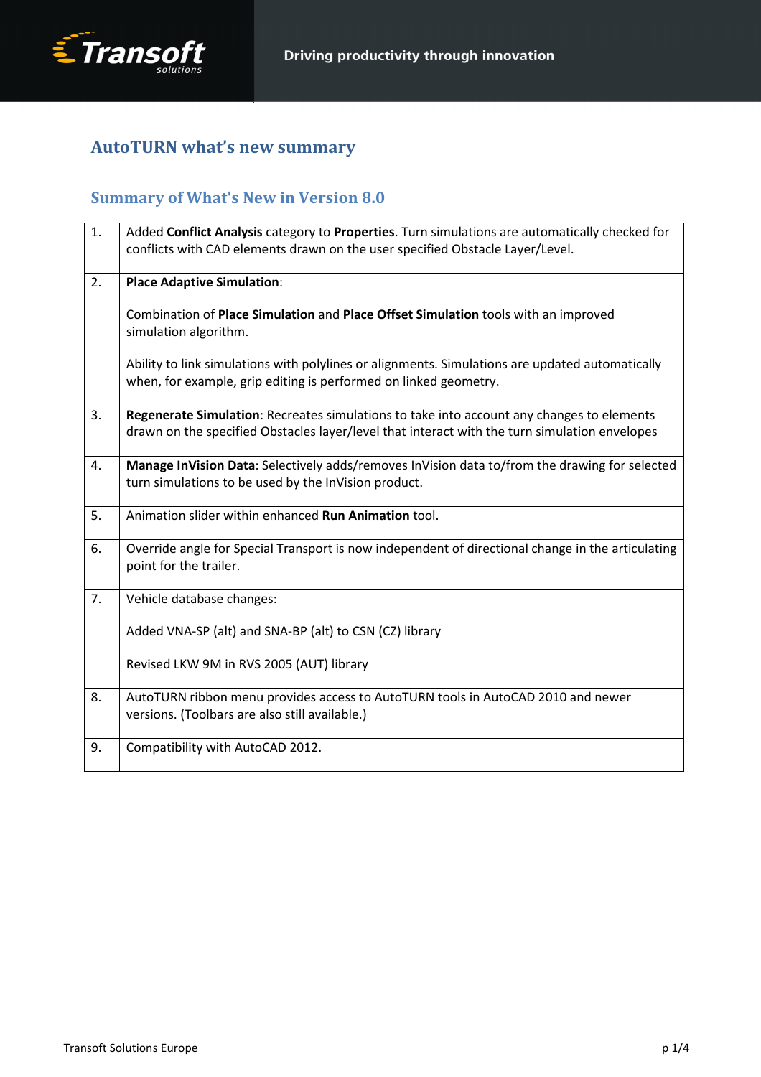

# AutoTURN what's new summary

# Summary of What's New in Version 8.0

| 1. | Added Conflict Analysis category to Properties. Turn simulations are automatically checked for    |
|----|---------------------------------------------------------------------------------------------------|
|    | conflicts with CAD elements drawn on the user specified Obstacle Layer/Level.                     |
|    |                                                                                                   |
| 2. | <b>Place Adaptive Simulation:</b>                                                                 |
|    |                                                                                                   |
|    | Combination of Place Simulation and Place Offset Simulation tools with an improved                |
|    | simulation algorithm.                                                                             |
|    |                                                                                                   |
|    | Ability to link simulations with polylines or alignments. Simulations are updated automatically   |
|    | when, for example, grip editing is performed on linked geometry.                                  |
| 3. |                                                                                                   |
|    | Regenerate Simulation: Recreates simulations to take into account any changes to elements         |
|    | drawn on the specified Obstacles layer/level that interact with the turn simulation envelopes     |
| 4. | Manage InVision Data: Selectively adds/removes InVision data to/from the drawing for selected     |
|    | turn simulations to be used by the InVision product.                                              |
|    |                                                                                                   |
| 5. | Animation slider within enhanced <b>Run Animation</b> tool.                                       |
|    |                                                                                                   |
| 6. | Override angle for Special Transport is now independent of directional change in the articulating |
|    | point for the trailer.                                                                            |
|    |                                                                                                   |
| 7. | Vehicle database changes:                                                                         |
|    |                                                                                                   |
|    | Added VNA-SP (alt) and SNA-BP (alt) to CSN (CZ) library                                           |
|    | Revised LKW 9M in RVS 2005 (AUT) library                                                          |
|    |                                                                                                   |
| 8. | AutoTURN ribbon menu provides access to AutoTURN tools in AutoCAD 2010 and newer                  |
|    | versions. (Toolbars are also still available.)                                                    |
|    |                                                                                                   |
| 9. | Compatibility with AutoCAD 2012.                                                                  |
|    |                                                                                                   |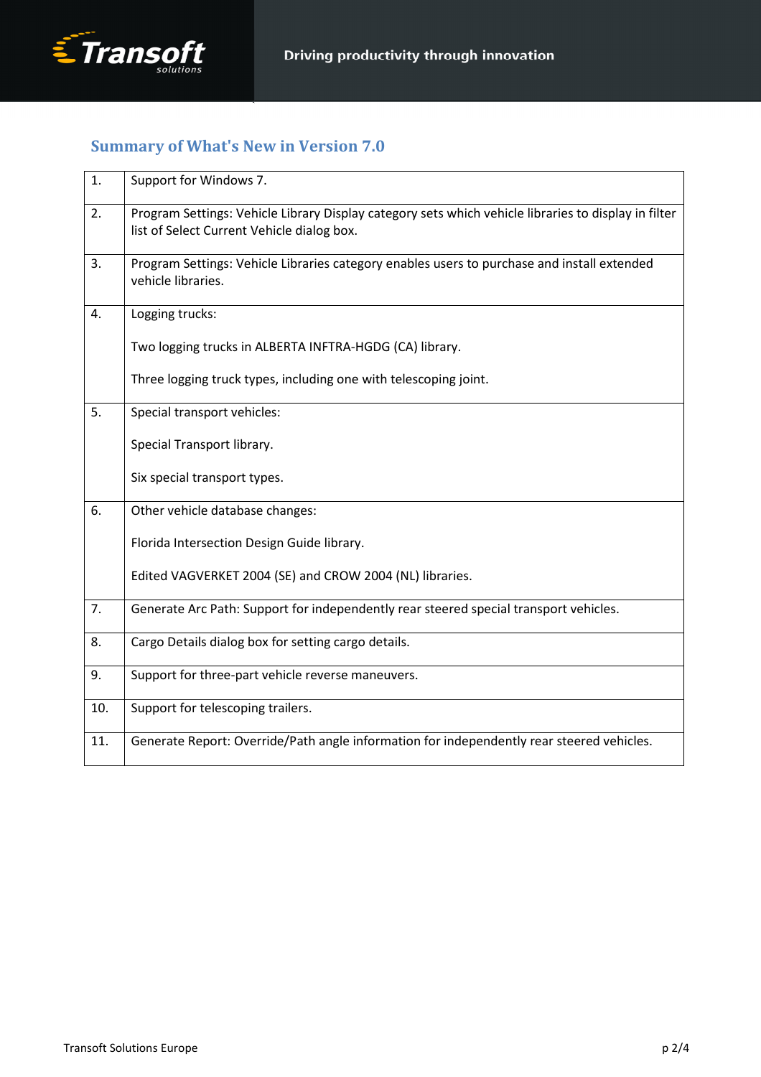

### Summary of What's New in Version 7.0

| 1.  | Support for Windows 7.                                                                                                                             |
|-----|----------------------------------------------------------------------------------------------------------------------------------------------------|
| 2.  | Program Settings: Vehicle Library Display category sets which vehicle libraries to display in filter<br>list of Select Current Vehicle dialog box. |
| 3.  | Program Settings: Vehicle Libraries category enables users to purchase and install extended<br>vehicle libraries.                                  |
| 4.  | Logging trucks:                                                                                                                                    |
|     | Two logging trucks in ALBERTA INFTRA-HGDG (CA) library.                                                                                            |
|     | Three logging truck types, including one with telescoping joint.                                                                                   |
| 5.  | Special transport vehicles:                                                                                                                        |
|     | Special Transport library.                                                                                                                         |
|     | Six special transport types.                                                                                                                       |
| 6.  | Other vehicle database changes:                                                                                                                    |
|     | Florida Intersection Design Guide library.                                                                                                         |
|     | Edited VAGVERKET 2004 (SE) and CROW 2004 (NL) libraries.                                                                                           |
| 7.  | Generate Arc Path: Support for independently rear steered special transport vehicles.                                                              |
| 8.  | Cargo Details dialog box for setting cargo details.                                                                                                |
| 9.  | Support for three-part vehicle reverse maneuvers.                                                                                                  |
| 10. | Support for telescoping trailers.                                                                                                                  |
| 11. | Generate Report: Override/Path angle information for independently rear steered vehicles.                                                          |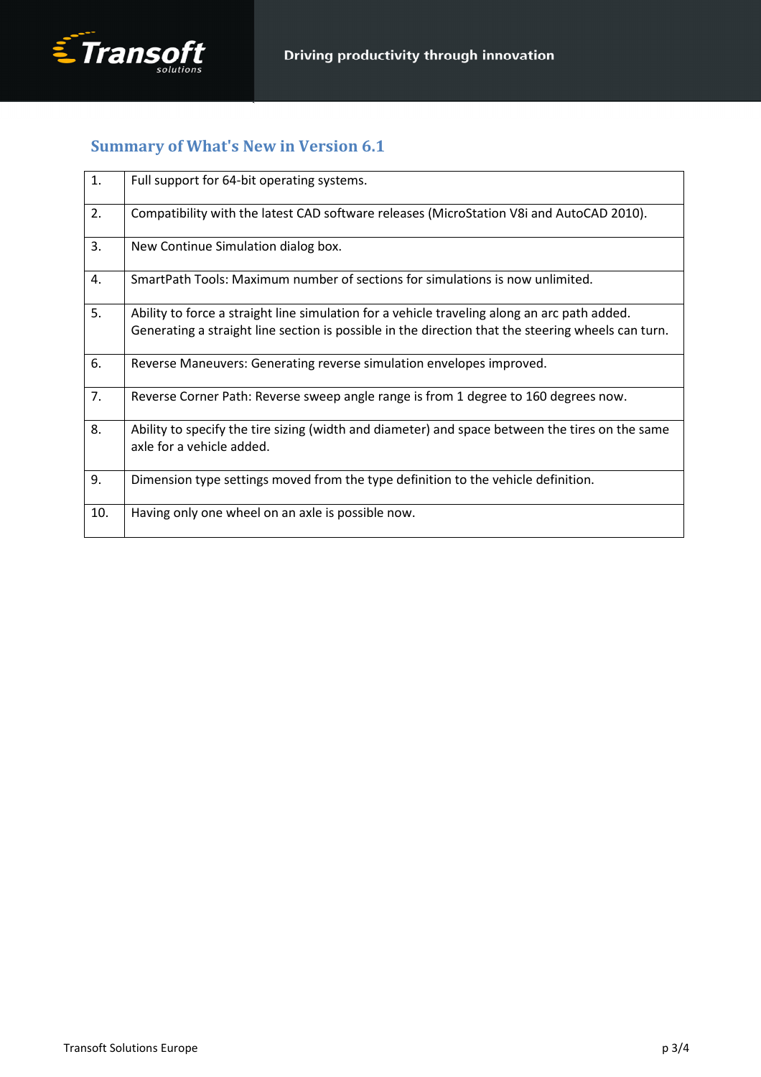### Summary of What's New in Version 6.1

| 1.  | Full support for 64-bit operating systems.                                                                                                                                                         |
|-----|----------------------------------------------------------------------------------------------------------------------------------------------------------------------------------------------------|
| 2.  | Compatibility with the latest CAD software releases (MicroStation V8i and AutoCAD 2010).                                                                                                           |
| 3.  | New Continue Simulation dialog box.                                                                                                                                                                |
| 4.  | SmartPath Tools: Maximum number of sections for simulations is now unlimited.                                                                                                                      |
| 5.  | Ability to force a straight line simulation for a vehicle traveling along an arc path added.<br>Generating a straight line section is possible in the direction that the steering wheels can turn. |
| 6.  | Reverse Maneuvers: Generating reverse simulation envelopes improved.                                                                                                                               |
| 7.  | Reverse Corner Path: Reverse sweep angle range is from 1 degree to 160 degrees now.                                                                                                                |
| 8.  | Ability to specify the tire sizing (width and diameter) and space between the tires on the same<br>axle for a vehicle added.                                                                       |
| 9.  | Dimension type settings moved from the type definition to the vehicle definition.                                                                                                                  |
| 10. | Having only one wheel on an axle is possible now.                                                                                                                                                  |